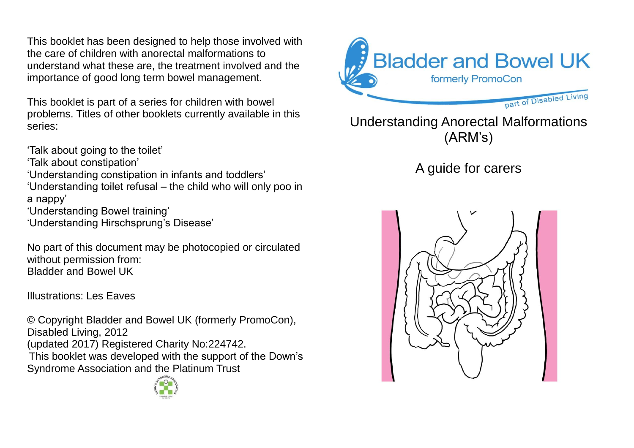This booklet has been designed to help those involved with the care of children with anorectal malformations to understand what these are, the treatment involved and the importance of good long term bowel management.

This booklet is part of a series for children with bowel problems. Titles of other booklets currently available in this series:

'Talk about going to the toilet'

'Talk about constipation'

'Understanding constipation in infants and toddlers'

'Understanding toilet refusal – the child who will only poo in a nappy'

'Understanding Bowel training'

'Understanding Hirschsprung's Disease'

No part of this document may be photocopied or circulated without permission from: Bladder and Bowel UK

Illustrations: Les Eaves

© Copyright Bladder and Bowel UK (formerly PromoCon), Disabled Living, 2012 (updated 2017) Registered Charity No:224742. This booklet was developed with the support of the Down's Syndrome Association and the Platinum Trust





# Understanding Anorectal Malformations (ARM's)

# A guide for carers

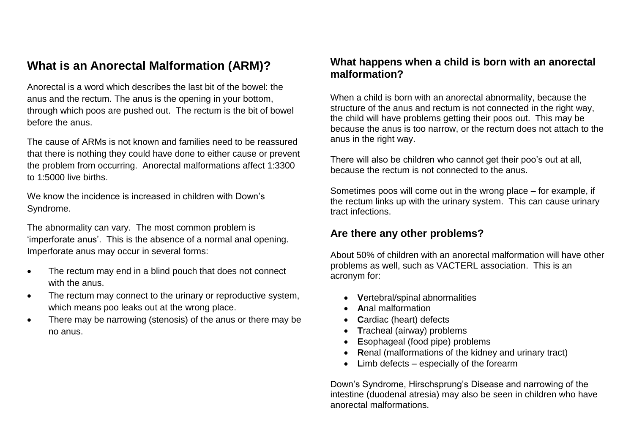# **What is an Anorectal Malformation (ARM)?**

Anorectal is a word which describes the last bit of the bowel: the anus and the rectum. The anus is the opening in your bottom, through which poos are pushed out. The rectum is the bit of bowel before the anus.

The cause of ARMs is not known and families need to be reassured that there is nothing they could have done to either cause or prevent the problem from occurring. Anorectal malformations affect 1:3300 to 1:5000 live births.

We know the incidence is increased in children with Down's Syndrome.

The abnormality can vary. The most common problem is 'imperforate anus'. This is the absence of a normal anal opening. Imperforate anus may occur in several forms:

- The rectum may end in a blind pouch that does not connect with the anus.
- The rectum may connect to the urinary or reproductive system, which means poo leaks out at the wrong place.
- There may be narrowing (stenosis) of the anus or there may be no anus.

#### **What happens when a child is born with an anorectal malformation?**

When a child is born with an anorectal abnormality, because the structure of the anus and rectum is not connected in the right way, the child will have problems getting their poos out. This may be because the anus is too narrow, or the rectum does not attach to the anus in the right way.

There will also be children who cannot get their poo's out at all, because the rectum is not connected to the anus.

Sometimes poos will come out in the wrong place – for example, if the rectum links up with the urinary system. This can cause urinary tract infections.

#### **Are there any other problems?**

About 50% of children with an anorectal malformation will have other problems as well, such as VACTERL association. This is an acronym for:

- **V**ertebral/spinal abnormalities
- **A**nal malformation
- Cardiac (heart) defects
- **T**racheal (airway) problems
- **E**sophageal (food pipe) problems
- **R**enal (malformations of the kidney and urinary tract)
- **L**imb defects especially of the forearm

Down's Syndrome, Hirschsprung's Disease and narrowing of the intestine (duodenal atresia) may also be seen in children who have anorectal malformations.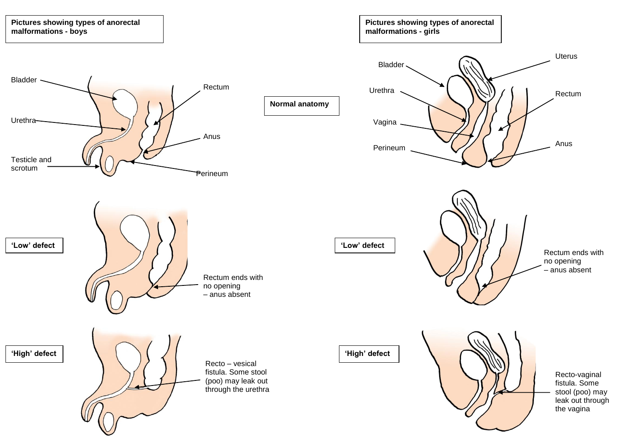#### **Pictures showing types of anorectal malformations - girls**

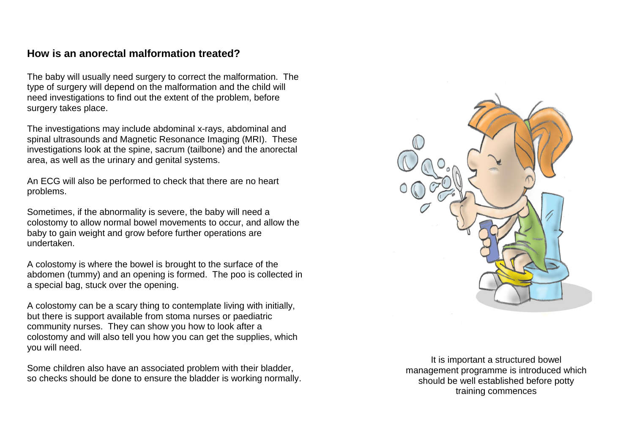#### **How is an anorectal malformation treated?**

The baby will usually need surgery to correct the malformation. The type of surgery will depend on the malformation and the child will need investigations to find out the extent of the problem, before surgery takes place.

The investigations may include abdominal x-rays, abdominal and spinal ultrasounds and Magnetic Resonance Imaging (MRI). These investigations look at the spine, sacrum (tailbone) and the anorectal area, as well as the urinary and genital systems.

An ECG will also be performed to check that there are no heart problems.

Sometimes, if the abnormality is severe, the baby will need a colostomy to allow normal bowel movements to occur, and allow the baby to gain weight and grow before further operations are undertaken.

A colostomy is where the bowel is brought to the surface of the abdomen (tummy) and an opening is formed. The poo is collected in a special bag, stuck over the opening.

A colostomy can be a scary thing to contemplate living with initially, but there is support available from stoma nurses or paediatric community nurses. They can show you how to look after a colostomy and will also tell you how you can get the supplies, which you will need.

Some children also have an associated problem with their bladder, so checks should be done to ensure the bladder is working normally.

It is important a structured bowel management programme is introduced which should be well established before potty training commences

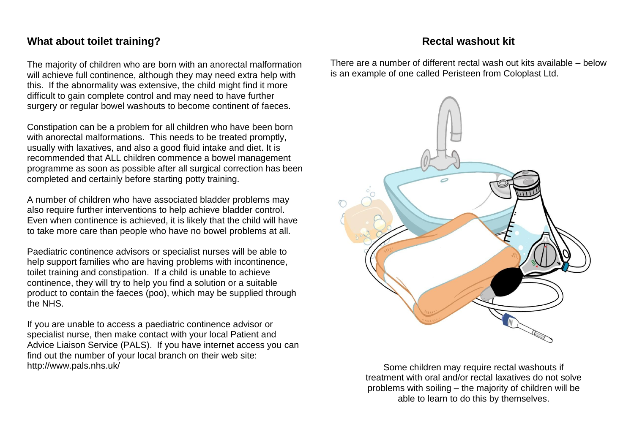#### **What about toilet training?**

The majority of children who are born with an anorectal malformation will achieve full continence, although they may need extra help with this. If the abnormality was extensive, the child might find it more difficult to gain complete control and may need to have further surgery or regular bowel washouts to become continent of faeces.

Constipation can be a problem for all children who have been born with anorectal malformations. This needs to be treated promptly, usually with laxatives, and also a good fluid intake and diet. It is recommended that ALL children commence a bowel management programme as soon as possible after all surgical correction has been completed and certainly before starting potty training.

A number of children who have associated bladder problems may also require further interventions to help achieve bladder control. Even when continence is achieved, it is likely that the child will have to take more care than people who have no bowel problems at all.

Paediatric continence advisors or specialist nurses will be able to help support families who are having problems with incontinence, toilet training and constipation. If a child is unable to achieve continence, they will try to help you find a solution or a suitable product to contain the faeces (poo), which may be supplied through the NHS.

If you are unable to access a paediatric continence advisor or specialist nurse, then make contact with your local Patient and Advice Liaison Service (PALS). If you have internet access you can find out the number of your local branch on their web site: http://www.pals.nhs.uk/

#### **Rectal washout kit**

There are a number of different rectal wash out kits available – below is an example of one called Peristeen from Coloplast Ltd.



Some children may require rectal washouts if treatment with oral and/or rectal laxatives do not solve problems with soiling – the majority of children will be able to learn to do this by themselves.